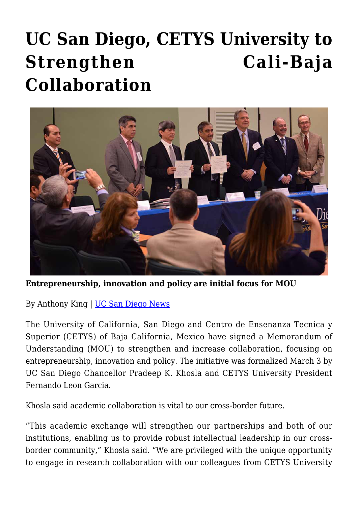## **[UC San Diego, CETYS University to](https://gpsnews.ucsd.edu/uc-san-diego-cetys-university-to-strengthen-cali-baja-collaboration/) [Strengthen Cali-Baja](https://gpsnews.ucsd.edu/uc-san-diego-cetys-university-to-strengthen-cali-baja-collaboration/) [Collaboration](https://gpsnews.ucsd.edu/uc-san-diego-cetys-university-to-strengthen-cali-baja-collaboration/)**



**Entrepreneurship, innovation and policy are initial focus for MOU**

By Anthony King | [UC San Diego News](https://ucsdnews.ucsd.edu/pressrelease/uc_san_diego_cetys_university_to_strengthen_cali_baja_collaboration)

The University of California, San Diego and Centro de Ensenanza Tecnica y Superior (CETYS) of Baja California, Mexico have signed a Memorandum of Understanding (MOU) to strengthen and increase collaboration, focusing on entrepreneurship, innovation and policy. The initiative was formalized March 3 by UC San Diego Chancellor Pradeep K. Khosla and CETYS University President Fernando Leon Garcia.

Khosla said academic collaboration is vital to our cross-border future.

"This academic exchange will strengthen our partnerships and both of our institutions, enabling us to provide robust intellectual leadership in our crossborder community," Khosla said. "We are privileged with the unique opportunity to engage in research collaboration with our colleagues from CETYS University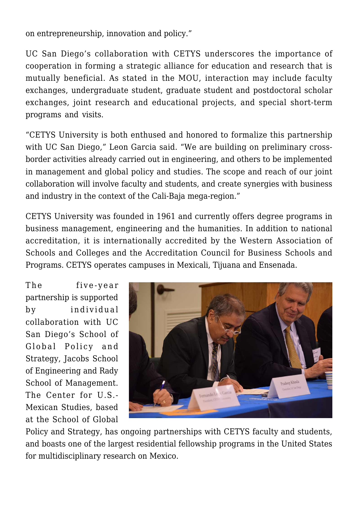on entrepreneurship, innovation and policy."

UC San Diego's collaboration with CETYS underscores the importance of cooperation in forming a strategic alliance for education and research that is mutually beneficial. As stated in the MOU, interaction may include faculty exchanges, undergraduate student, graduate student and postdoctoral scholar exchanges, joint research and educational projects, and special short-term programs and visits.

"CETYS University is both enthused and honored to formalize this partnership with UC San Diego," Leon Garcia said. "We are building on preliminary crossborder activities already carried out in engineering, and others to be implemented in management and global policy and studies. The scope and reach of our joint collaboration will involve faculty and students, and create synergies with business and industry in the context of the Cali-Baja mega-region."

CETYS University was founded in 1961 and currently offers degree programs in business management, engineering and the humanities. In addition to national accreditation, it is internationally accredited by the Western Association of Schools and Colleges and the Accreditation Council for Business Schools and Programs. CETYS operates campuses in Mexicali, Tijuana and Ensenada.

The five-year partnership is supported by individual collaboration with UC San Diego's School of Global Policy and Strategy, Jacobs School of Engineering and Rady School of Management. The Center for U.S.- Mexican Studies, based at the School of Global



Policy and Strategy, has ongoing partnerships with CETYS faculty and students, and boasts one of the largest residential fellowship programs in the United States for multidisciplinary research on Mexico.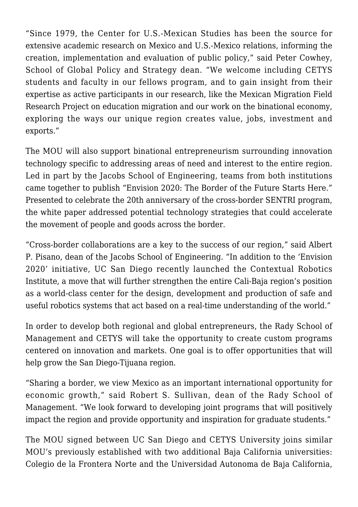"Since 1979, the Center for U.S.-Mexican Studies has been the source for extensive academic research on Mexico and U.S.-Mexico relations, informing the creation, implementation and evaluation of public policy," said Peter Cowhey, School of Global Policy and Strategy dean. "We welcome including CETYS students and faculty in our fellows program, and to gain insight from their expertise as active participants in our research, like the Mexican Migration Field Research Project on education migration and our work on the binational economy, exploring the ways our unique region creates value, jobs, investment and exports."

The MOU will also support binational entrepreneurism surrounding innovation technology specific to addressing areas of need and interest to the entire region. Led in part by the Jacobs School of Engineering, teams from both institutions came together to publish "Envision 2020: The Border of the Future Starts Here." Presented to celebrate the 20th anniversary of the cross-border SENTRI program, the white paper addressed potential technology strategies that could accelerate the movement of people and goods across the border.

"Cross-border collaborations are a key to the success of our region," said Albert P. Pisano, dean of the Jacobs School of Engineering. "In addition to the 'Envision 2020' initiative, UC San Diego recently launched the Contextual Robotics Institute, a move that will further strengthen the entire Cali-Baja region's position as a world-class center for the design, development and production of safe and useful robotics systems that act based on a real-time understanding of the world."

In order to develop both regional and global entrepreneurs, the Rady School of Management and CETYS will take the opportunity to create custom programs centered on innovation and markets. One goal is to offer opportunities that will help grow the San Diego-Tijuana region.

"Sharing a border, we view Mexico as an important international opportunity for economic growth," said Robert S. Sullivan, dean of the Rady School of Management. "We look forward to developing joint programs that will positively impact the region and provide opportunity and inspiration for graduate students."

The MOU signed between UC San Diego and CETYS University joins similar MOU's previously established with two additional Baja California universities: Colegio de la Frontera Norte and the Universidad Autonoma de Baja California,